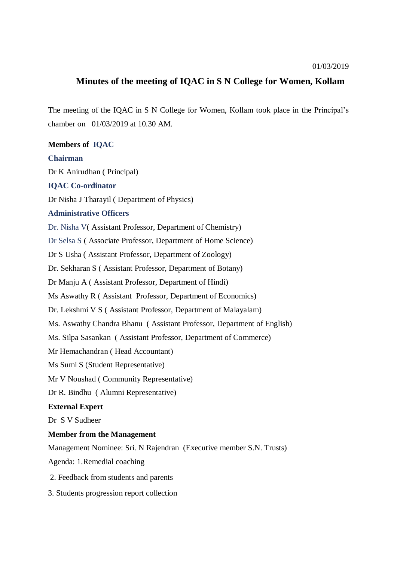## **Minutes of the meeting of IQAC in S N College for Women, Kollam**

The meeting of the IQAC in S N College for Women, Kollam took place in the Principal's chamber on 01/03/2019 at 10.30 AM.

**Members of IQAC Chairman** Dr K Anirudhan ( Principal) **IQAC Co-ordinator** Dr Nisha J Tharayil ( Department of Physics) **Administrative Officers** Dr. Nisha V( Assistant Professor, Department of Chemistry) Dr Selsa S ( Associate Professor, Department of Home Science) Dr S Usha ( Assistant Professor, Department of Zoology) Dr. Sekharan S ( Assistant Professor, Department of Botany) Dr Manju A ( Assistant Professor, Department of Hindi) Ms Aswathy R ( Assistant Professor, Department of Economics) Dr. Lekshmi V S ( Assistant Professor, Department of Malayalam) Ms. Aswathy Chandra Bhanu ( Assistant Professor, Department of English) Ms. Silpa Sasankan ( Assistant Professor, Department of Commerce) Mr Hemachandran ( Head Accountant) Ms Sumi S (Student Representative) Mr V Noushad ( Community Representative) Dr R. Bindhu ( Alumni Representative) **External Expert** Dr S V Sudheer **Member from the Management** Management Nominee: Sri. N Rajendran (Executive member S.N. Trusts) Agenda: 1.Remedial coaching

- 2. Feedback from students and parents
- 3. Students progression report collection